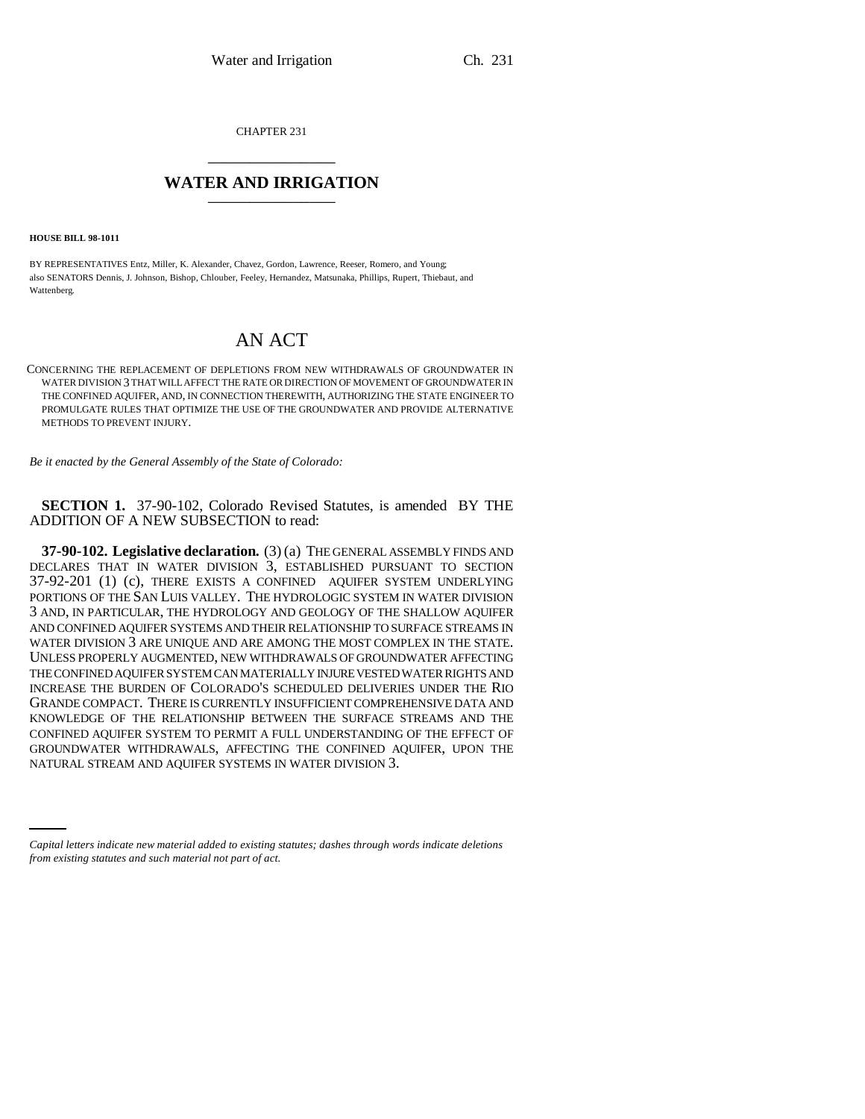CHAPTER 231 \_\_\_\_\_\_\_\_\_\_\_\_\_\_\_

## **WATER AND IRRIGATION** \_\_\_\_\_\_\_\_\_\_\_\_\_\_\_

**HOUSE BILL 98-1011**

BY REPRESENTATIVES Entz, Miller, K. Alexander, Chavez, Gordon, Lawrence, Reeser, Romero, and Young; also SENATORS Dennis, J. Johnson, Bishop, Chlouber, Feeley, Hernandez, Matsunaka, Phillips, Rupert, Thiebaut, and Wattenberg.

## AN ACT

CONCERNING THE REPLACEMENT OF DEPLETIONS FROM NEW WITHDRAWALS OF GROUNDWATER IN WATER DIVISION 3 THAT WILL AFFECT THE RATE OR DIRECTION OF MOVEMENT OF GROUNDWATER IN THE CONFINED AQUIFER, AND, IN CONNECTION THEREWITH, AUTHORIZING THE STATE ENGINEER TO PROMULGATE RULES THAT OPTIMIZE THE USE OF THE GROUNDWATER AND PROVIDE ALTERNATIVE METHODS TO PREVENT INJURY.

*Be it enacted by the General Assembly of the State of Colorado:*

**SECTION 1.** 37-90-102, Colorado Revised Statutes, is amended BY THE ADDITION OF A NEW SUBSECTION to read:

GROUNDWATER WITHDRAWALS, AFFECTING THE CONFINED A<br>NATURAL STREAM AND AQUIFER SYSTEMS IN WATER DIVISION 3. **37-90-102. Legislative declaration.** (3) (a) THE GENERAL ASSEMBLY FINDS AND DECLARES THAT IN WATER DIVISION 3, ESTABLISHED PURSUANT TO SECTION 37-92-201 (1) (c), THERE EXISTS A CONFINED AQUIFER SYSTEM UNDERLYING PORTIONS OF THE SAN LUIS VALLEY. THE HYDROLOGIC SYSTEM IN WATER DIVISION 3 AND, IN PARTICULAR, THE HYDROLOGY AND GEOLOGY OF THE SHALLOW AQUIFER AND CONFINED AQUIFER SYSTEMS AND THEIR RELATIONSHIP TO SURFACE STREAMS IN WATER DIVISION 3 ARE UNIQUE AND ARE AMONG THE MOST COMPLEX IN THE STATE. UNLESS PROPERLY AUGMENTED, NEW WITHDRAWALS OF GROUNDWATER AFFECTING THE CONFINED AQUIFER SYSTEM CAN MATERIALLY INJURE VESTED WATER RIGHTS AND INCREASE THE BURDEN OF COLORADO'S SCHEDULED DELIVERIES UNDER THE RIO GRANDE COMPACT. THERE IS CURRENTLY INSUFFICIENT COMPREHENSIVE DATA AND KNOWLEDGE OF THE RELATIONSHIP BETWEEN THE SURFACE STREAMS AND THE CONFINED AQUIFER SYSTEM TO PERMIT A FULL UNDERSTANDING OF THE EFFECT OF GROUNDWATER WITHDRAWALS, AFFECTING THE CONFINED AQUIFER, UPON THE

*Capital letters indicate new material added to existing statutes; dashes through words indicate deletions from existing statutes and such material not part of act.*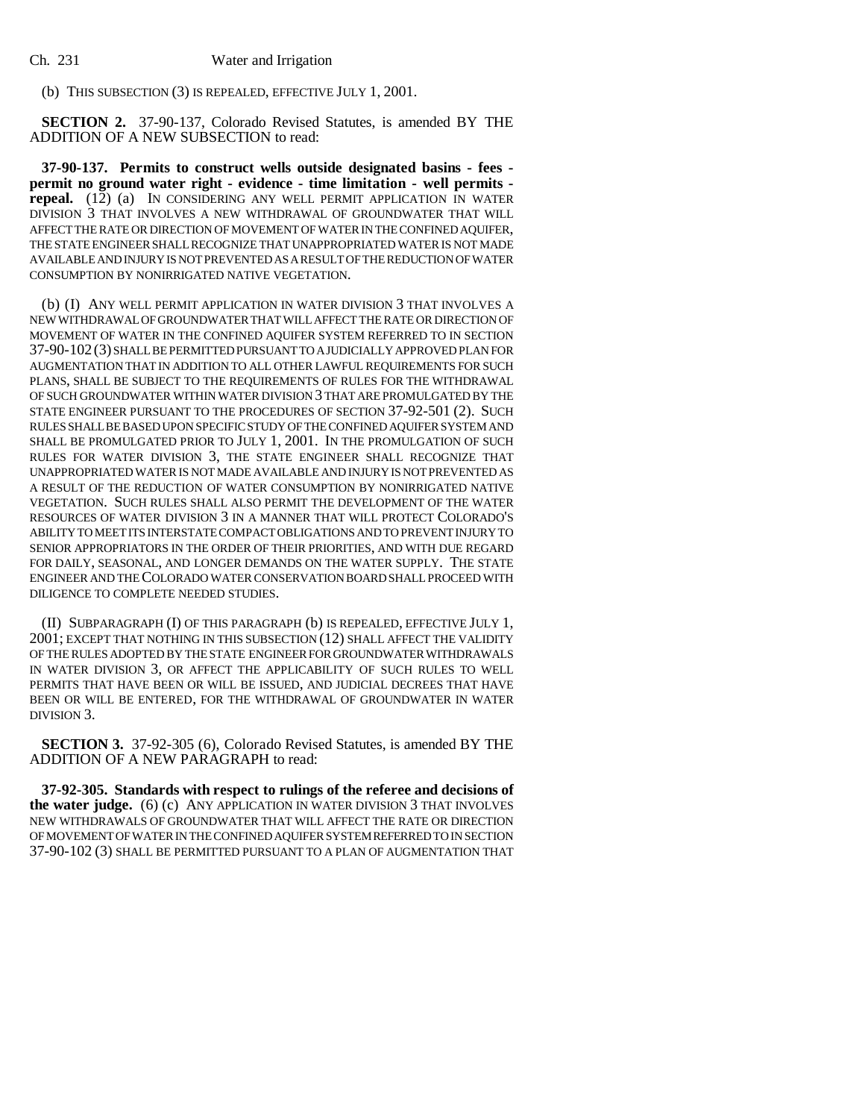(b) THIS SUBSECTION (3) IS REPEALED, EFFECTIVE JULY 1, 2001.

**SECTION 2.** 37-90-137, Colorado Revised Statutes, is amended BY THE ADDITION OF A NEW SUBSECTION to read:

**37-90-137. Permits to construct wells outside designated basins - fees permit no ground water right - evidence - time limitation - well permits repeal.** (12) (a) IN CONSIDERING ANY WELL PERMIT APPLICATION IN WATER DIVISION 3 THAT INVOLVES A NEW WITHDRAWAL OF GROUNDWATER THAT WILL AFFECT THE RATE OR DIRECTION OF MOVEMENT OF WATER IN THE CONFINED AQUIFER, THE STATE ENGINEER SHALL RECOGNIZE THAT UNAPPROPRIATED WATER IS NOT MADE AVAILABLE AND INJURY IS NOT PREVENTED AS A RESULT OF THE REDUCTION OF WATER CONSUMPTION BY NONIRRIGATED NATIVE VEGETATION.

(b) (I) ANY WELL PERMIT APPLICATION IN WATER DIVISION 3 THAT INVOLVES A NEW WITHDRAWAL OF GROUNDWATER THAT WILL AFFECT THE RATE OR DIRECTION OF MOVEMENT OF WATER IN THE CONFINED AQUIFER SYSTEM REFERRED TO IN SECTION 37-90-102 (3) SHALL BE PERMITTED PURSUANT TO A JUDICIALLY APPROVED PLAN FOR AUGMENTATION THAT IN ADDITION TO ALL OTHER LAWFUL REQUIREMENTS FOR SUCH PLANS, SHALL BE SUBJECT TO THE REQUIREMENTS OF RULES FOR THE WITHDRAWAL OF SUCH GROUNDWATER WITHIN WATER DIVISION 3 THAT ARE PROMULGATED BY THE STATE ENGINEER PURSUANT TO THE PROCEDURES OF SECTION 37-92-501 (2). SUCH RULES SHALL BE BASED UPON SPECIFIC STUDY OF THE CONFINED AQUIFER SYSTEM AND SHALL BE PROMULGATED PRIOR TO JULY 1, 2001. IN THE PROMULGATION OF SUCH RULES FOR WATER DIVISION 3, THE STATE ENGINEER SHALL RECOGNIZE THAT UNAPPROPRIATED WATER IS NOT MADE AVAILABLE AND INJURY IS NOT PREVENTED AS A RESULT OF THE REDUCTION OF WATER CONSUMPTION BY NONIRRIGATED NATIVE VEGETATION. SUCH RULES SHALL ALSO PERMIT THE DEVELOPMENT OF THE WATER RESOURCES OF WATER DIVISION 3 IN A MANNER THAT WILL PROTECT COLORADO'S ABILITY TO MEET ITS INTERSTATE COMPACT OBLIGATIONS AND TO PREVENT INJURY TO SENIOR APPROPRIATORS IN THE ORDER OF THEIR PRIORITIES, AND WITH DUE REGARD FOR DAILY, SEASONAL, AND LONGER DEMANDS ON THE WATER SUPPLY. THE STATE ENGINEER AND THE COLORADO WATER CONSERVATION BOARD SHALL PROCEED WITH DILIGENCE TO COMPLETE NEEDED STUDIES.

(II) SUBPARAGRAPH (I) OF THIS PARAGRAPH (b) IS REPEALED, EFFECTIVE JULY 1, 2001; EXCEPT THAT NOTHING IN THIS SUBSECTION (12) SHALL AFFECT THE VALIDITY OF THE RULES ADOPTED BY THE STATE ENGINEER FOR GROUNDWATER WITHDRAWALS IN WATER DIVISION 3, OR AFFECT THE APPLICABILITY OF SUCH RULES TO WELL PERMITS THAT HAVE BEEN OR WILL BE ISSUED, AND JUDICIAL DECREES THAT HAVE BEEN OR WILL BE ENTERED, FOR THE WITHDRAWAL OF GROUNDWATER IN WATER DIVISION 3.

**SECTION 3.** 37-92-305 (6), Colorado Revised Statutes, is amended BY THE ADDITION OF A NEW PARAGRAPH to read:

**37-92-305. Standards with respect to rulings of the referee and decisions of the water judge.** (6) (c) ANY APPLICATION IN WATER DIVISION 3 THAT INVOLVES NEW WITHDRAWALS OF GROUNDWATER THAT WILL AFFECT THE RATE OR DIRECTION OF MOVEMENT OF WATER IN THE CONFINED AQUIFER SYSTEM REFERRED TO IN SECTION 37-90-102 (3) SHALL BE PERMITTED PURSUANT TO A PLAN OF AUGMENTATION THAT